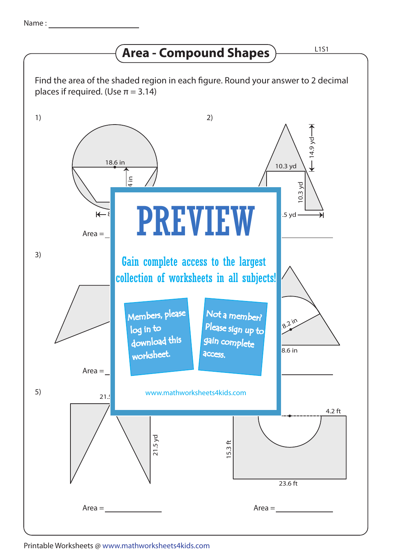## **Area - Compound Shapes**

ndingers<br>log in to collection of worksheets in all subjects!  $21.5$ 21.5 yd 1) 3) 5) 2) 6) www.mathworksheets4kids.com Gain complete access to the largest  $Area =$  $Area =$  $Area =$ Area =  $Area =$  $\equiv$  $\overline{\mathsf{R}}$ 18.6 in **1**<br>Pover<br>1 10.3 yd 10.3 yd  $.5$  yd -8.6 in 18.2 in 23.4 in 15.3 ft  $23.6$  ft  $4.2$  ft Find the area of the shaded region in each figure. Round your answer to 2 decimal places if required. (Use  $\pi = 3.14$ ) PREVIEW Members, please download this worksheet. Not a member? gain complete Please sign up to access.

Printable Worksheets @ www.mathworksheets4kids.com